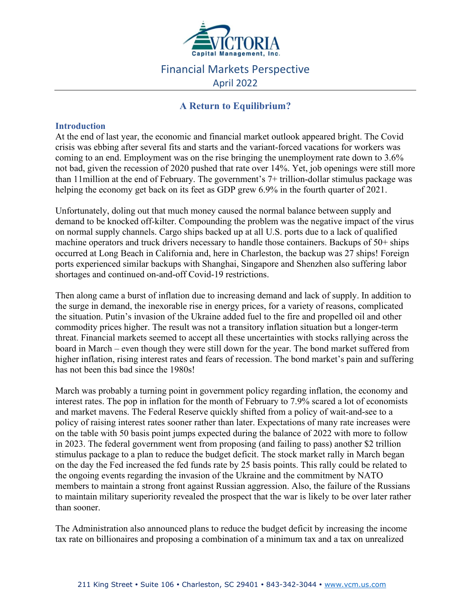

# Financial Markets Perspective April 2022

# **A Return to Equilibrium?**

# **Introduction**

At the end of last year, the economic and financial market outlook appeared bright. The Covid crisis was ebbing after several fits and starts and the variant-forced vacations for workers was coming to an end. Employment was on the rise bringing the unemployment rate down to 3.6% not bad, given the recession of 2020 pushed that rate over 14%. Yet, job openings were still more than 11million at the end of February. The government's 7+ trillion-dollar stimulus package was helping the economy get back on its feet as GDP grew 6.9% in the fourth quarter of 2021.

Unfortunately, doling out that much money caused the normal balance between supply and demand to be knocked off-kilter. Compounding the problem was the negative impact of the virus on normal supply channels. Cargo ships backed up at all U.S. ports due to a lack of qualified machine operators and truck drivers necessary to handle those containers. Backups of 50+ ships occurred at Long Beach in California and, here in Charleston, the backup was 27 ships! Foreign ports experienced similar backups with Shanghai, Singapore and Shenzhen also suffering labor shortages and continued on-and-off Covid-19 restrictions.

Then along came a burst of inflation due to increasing demand and lack of supply. In addition to the surge in demand, the inexorable rise in energy prices, for a variety of reasons, complicated the situation. Putin's invasion of the Ukraine added fuel to the fire and propelled oil and other commodity prices higher. The result was not a transitory inflation situation but a longer-term threat. Financial markets seemed to accept all these uncertainties with stocks rallying across the board in March – even though they were still down for the year. The bond market suffered from higher inflation, rising interest rates and fears of recession. The bond market's pain and suffering has not been this bad since the 1980s!

March was probably a turning point in government policy regarding inflation, the economy and interest rates. The pop in inflation for the month of February to 7.9% scared a lot of economists and market mavens. The Federal Reserve quickly shifted from a policy of wait-and-see to a policy of raising interest rates sooner rather than later. Expectations of many rate increases were on the table with 50 basis point jumps expected during the balance of 2022 with more to follow in 2023. The federal government went from proposing (and failing to pass) another \$2 trillion stimulus package to a plan to reduce the budget deficit. The stock market rally in March began on the day the Fed increased the fed funds rate by 25 basis points. This rally could be related to the ongoing events regarding the invasion of the Ukraine and the commitment by NATO members to maintain a strong front against Russian aggression. Also, the failure of the Russians to maintain military superiority revealed the prospect that the war is likely to be over later rather than sooner.

The Administration also announced plans to reduce the budget deficit by increasing the income tax rate on billionaires and proposing a combination of a minimum tax and a tax on unrealized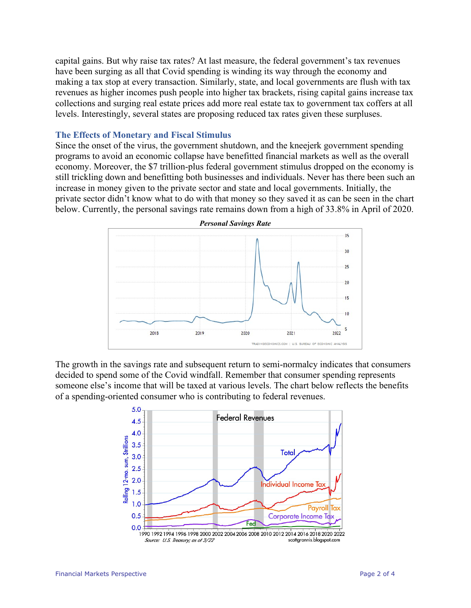capital gains. But why raise tax rates? At last measure, the federal government's tax revenues have been surging as all that Covid spending is winding its way through the economy and making a tax stop at every transaction. Similarly, state, and local governments are flush with tax revenues as higher incomes push people into higher tax brackets, rising capital gains increase tax collections and surging real estate prices add more real estate tax to government tax coffers at all levels. Interestingly, several states are proposing reduced tax rates given these surpluses.

#### **The Effects of Monetary and Fiscal Stimulus**

Since the onset of the virus, the government shutdown, and the kneejerk government spending programs to avoid an economic collapse have benefitted financial markets as well as the overall economy. Moreover, the \$7 trillion-plus federal government stimulus dropped on the economy is still trickling down and benefitting both businesses and individuals. Never has there been such an increase in money given to the private sector and state and local governments. Initially, the private sector didn't know what to do with that money so they saved it as can be seen in the chart below. Currently, the personal savings rate remains down from a high of 33.8% in April of 2020.



The growth in the savings rate and subsequent return to semi-normalcy indicates that consumers decided to spend some of the Covid windfall. Remember that consumer spending represents someone else's income that will be taxed at various levels. The chart below reflects the benefits of a spending-oriented consumer who is contributing to federal revenues.

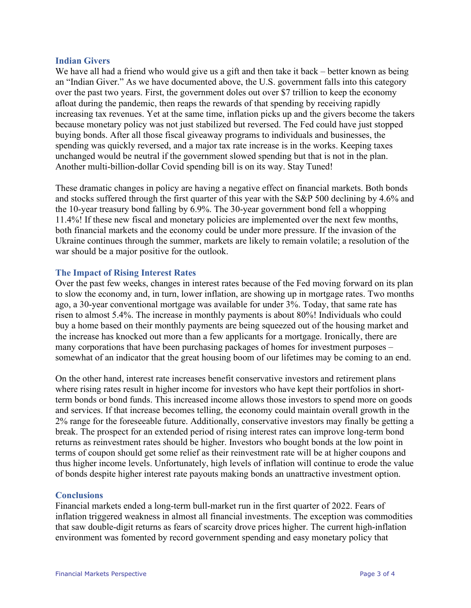#### **Indian Givers**

We have all had a friend who would give us a gift and then take it back – better known as being an "Indian Giver." As we have documented above, the U.S. government falls into this category over the past two years. First, the government doles out over \$7 trillion to keep the economy afloat during the pandemic, then reaps the rewards of that spending by receiving rapidly increasing tax revenues. Yet at the same time, inflation picks up and the givers become the takers because monetary policy was not just stabilized but reversed. The Fed could have just stopped buying bonds. After all those fiscal giveaway programs to individuals and businesses, the spending was quickly reversed, and a major tax rate increase is in the works. Keeping taxes unchanged would be neutral if the government slowed spending but that is not in the plan. Another multi-billion-dollar Covid spending bill is on its way. Stay Tuned!

These dramatic changes in policy are having a negative effect on financial markets. Both bonds and stocks suffered through the first quarter of this year with the S&P 500 declining by 4.6% and the 10-year treasury bond falling by 6.9%. The 30-year government bond fell a whopping 11.4%! If these new fiscal and monetary policies are implemented over the next few months, both financial markets and the economy could be under more pressure. If the invasion of the Ukraine continues through the summer, markets are likely to remain volatile; a resolution of the war should be a major positive for the outlook.

## **The Impact of Rising Interest Rates**

Over the past few weeks, changes in interest rates because of the Fed moving forward on its plan to slow the economy and, in turn, lower inflation, are showing up in mortgage rates. Two months ago, a 30-year conventional mortgage was available for under 3%. Today, that same rate has risen to almost 5.4%. The increase in monthly payments is about 80%! Individuals who could buy a home based on their monthly payments are being squeezed out of the housing market and the increase has knocked out more than a few applicants for a mortgage. Ironically, there are many corporations that have been purchasing packages of homes for investment purposes – somewhat of an indicator that the great housing boom of our lifetimes may be coming to an end.

On the other hand, interest rate increases benefit conservative investors and retirement plans where rising rates result in higher income for investors who have kept their portfolios in shortterm bonds or bond funds. This increased income allows those investors to spend more on goods and services. If that increase becomes telling, the economy could maintain overall growth in the 2% range for the foreseeable future. Additionally, conservative investors may finally be getting a break. The prospect for an extended period of rising interest rates can improve long-term bond returns as reinvestment rates should be higher. Investors who bought bonds at the low point in terms of coupon should get some relief as their reinvestment rate will be at higher coupons and thus higher income levels. Unfortunately, high levels of inflation will continue to erode the value of bonds despite higher interest rate payouts making bonds an unattractive investment option.

## **Conclusions**

Financial markets ended a long-term bull-market run in the first quarter of 2022. Fears of inflation triggered weakness in almost all financial investments. The exception was commodities that saw double-digit returns as fears of scarcity drove prices higher. The current high-inflation environment was fomented by record government spending and easy monetary policy that